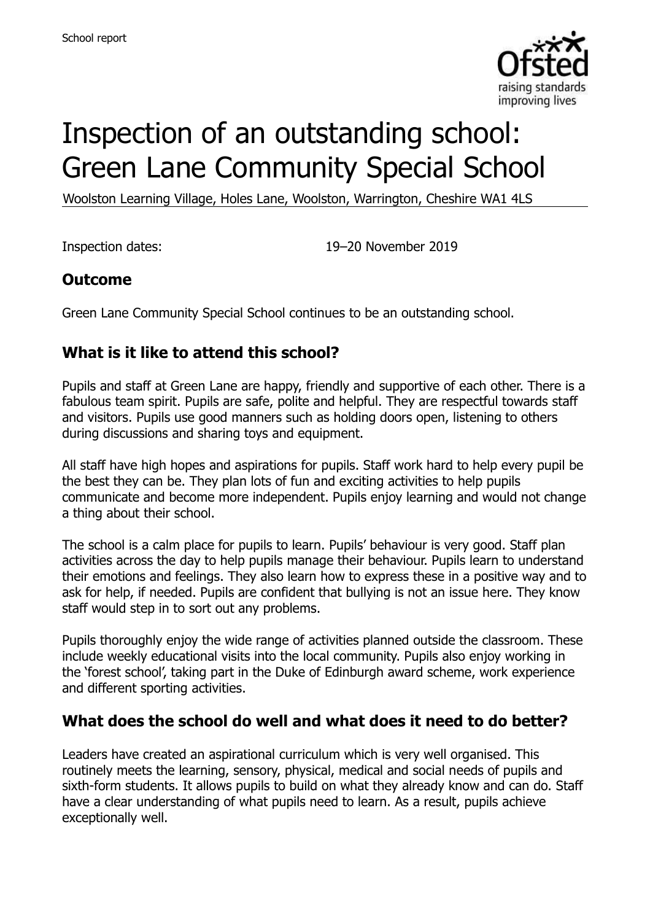

# Inspection of an outstanding school: Green Lane Community Special School

Woolston Learning Village, Holes Lane, Woolston, Warrington, Cheshire WA1 4LS

Inspection dates: 19–20 November 2019

# **Outcome**

Green Lane Community Special School continues to be an outstanding school.

# **What is it like to attend this school?**

Pupils and staff at Green Lane are happy, friendly and supportive of each other. There is a fabulous team spirit. Pupils are safe, polite and helpful. They are respectful towards staff and visitors. Pupils use good manners such as holding doors open, listening to others during discussions and sharing toys and equipment.

All staff have high hopes and aspirations for pupils. Staff work hard to help every pupil be the best they can be. They plan lots of fun and exciting activities to help pupils communicate and become more independent. Pupils enjoy learning and would not change a thing about their school.

The school is a calm place for pupils to learn. Pupils' behaviour is very good. Staff plan activities across the day to help pupils manage their behaviour. Pupils learn to understand their emotions and feelings. They also learn how to express these in a positive way and to ask for help, if needed. Pupils are confident that bullying is not an issue here. They know staff would step in to sort out any problems.

Pupils thoroughly enjoy the wide range of activities planned outside the classroom. These include weekly educational visits into the local community. Pupils also enjoy working in the 'forest school', taking part in the Duke of Edinburgh award scheme, work experience and different sporting activities.

#### **What does the school do well and what does it need to do better?**

Leaders have created an aspirational curriculum which is very well organised. This routinely meets the learning, sensory, physical, medical and social needs of pupils and sixth-form students. It allows pupils to build on what they already know and can do. Staff have a clear understanding of what pupils need to learn. As a result, pupils achieve exceptionally well.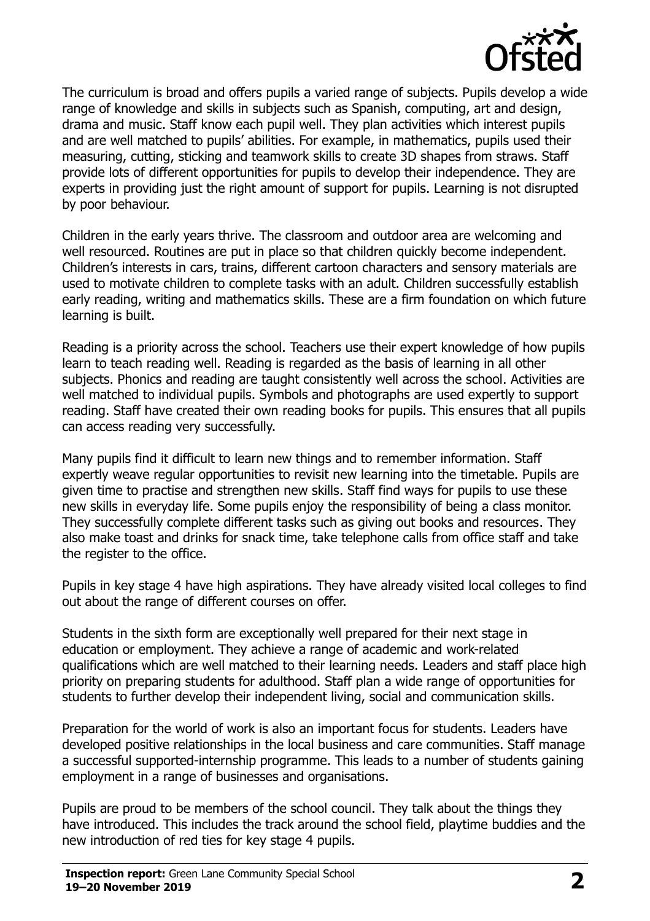

The curriculum is broad and offers pupils a varied range of subjects. Pupils develop a wide range of knowledge and skills in subjects such as Spanish, computing, art and design, drama and music. Staff know each pupil well. They plan activities which interest pupils and are well matched to pupils' abilities. For example, in mathematics, pupils used their measuring, cutting, sticking and teamwork skills to create 3D shapes from straws. Staff provide lots of different opportunities for pupils to develop their independence. They are experts in providing just the right amount of support for pupils. Learning is not disrupted by poor behaviour.

Children in the early years thrive. The classroom and outdoor area are welcoming and well resourced. Routines are put in place so that children quickly become independent. Children's interests in cars, trains, different cartoon characters and sensory materials are used to motivate children to complete tasks with an adult. Children successfully establish early reading, writing and mathematics skills. These are a firm foundation on which future learning is built.

Reading is a priority across the school. Teachers use their expert knowledge of how pupils learn to teach reading well. Reading is regarded as the basis of learning in all other subjects. Phonics and reading are taught consistently well across the school. Activities are well matched to individual pupils. Symbols and photographs are used expertly to support reading. Staff have created their own reading books for pupils. This ensures that all pupils can access reading very successfully.

Many pupils find it difficult to learn new things and to remember information. Staff expertly weave regular opportunities to revisit new learning into the timetable. Pupils are given time to practise and strengthen new skills. Staff find ways for pupils to use these new skills in everyday life. Some pupils enjoy the responsibility of being a class monitor. They successfully complete different tasks such as giving out books and resources. They also make toast and drinks for snack time, take telephone calls from office staff and take the register to the office.

Pupils in key stage 4 have high aspirations. They have already visited local colleges to find out about the range of different courses on offer.

Students in the sixth form are exceptionally well prepared for their next stage in education or employment. They achieve a range of academic and work-related qualifications which are well matched to their learning needs. Leaders and staff place high priority on preparing students for adulthood. Staff plan a wide range of opportunities for students to further develop their independent living, social and communication skills.

Preparation for the world of work is also an important focus for students. Leaders have developed positive relationships in the local business and care communities. Staff manage a successful supported-internship programme. This leads to a number of students gaining employment in a range of businesses and organisations.

Pupils are proud to be members of the school council. They talk about the things they have introduced. This includes the track around the school field, playtime buddies and the new introduction of red ties for key stage 4 pupils.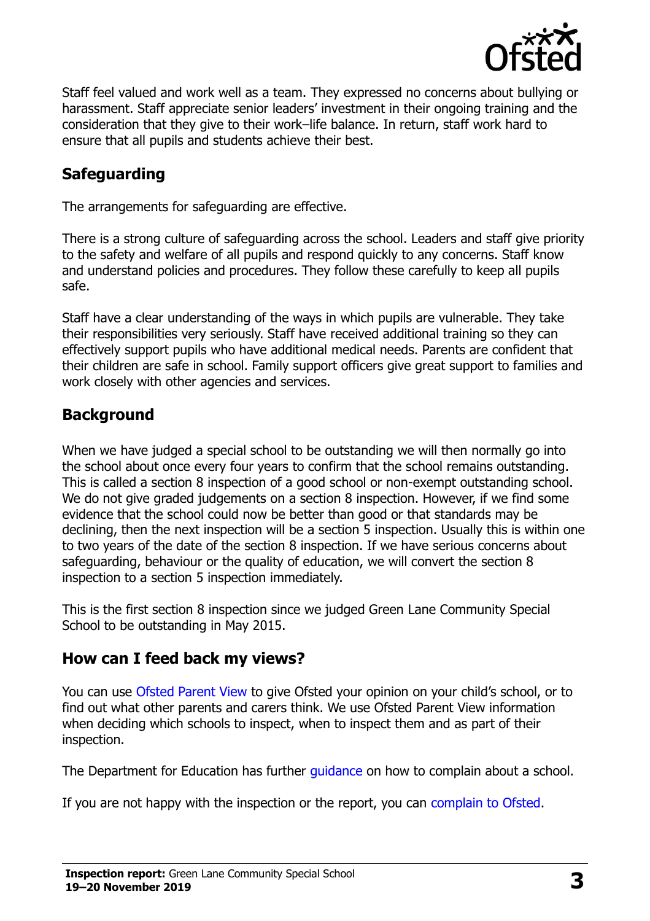

Staff feel valued and work well as a team. They expressed no concerns about bullying or harassment. Staff appreciate senior leaders' investment in their ongoing training and the consideration that they give to their work–life balance. In return, staff work hard to ensure that all pupils and students achieve their best.

# **Safeguarding**

The arrangements for safeguarding are effective.

There is a strong culture of safeguarding across the school. Leaders and staff give priority to the safety and welfare of all pupils and respond quickly to any concerns. Staff know and understand policies and procedures. They follow these carefully to keep all pupils safe.

Staff have a clear understanding of the ways in which pupils are vulnerable. They take their responsibilities very seriously. Staff have received additional training so they can effectively support pupils who have additional medical needs. Parents are confident that their children are safe in school. Family support officers give great support to families and work closely with other agencies and services.

#### **Background**

When we have judged a special school to be outstanding we will then normally go into the school about once every four years to confirm that the school remains outstanding. This is called a section 8 inspection of a good school or non-exempt outstanding school. We do not give graded judgements on a section 8 inspection. However, if we find some evidence that the school could now be better than good or that standards may be declining, then the next inspection will be a section 5 inspection. Usually this is within one to two years of the date of the section 8 inspection. If we have serious concerns about safeguarding, behaviour or the quality of education, we will convert the section 8 inspection to a section 5 inspection immediately.

This is the first section 8 inspection since we judged Green Lane Community Special School to be outstanding in May 2015.

#### **How can I feed back my views?**

You can use [Ofsted Parent View](https://parentview.ofsted.gov.uk/) to give Ofsted your opinion on your child's school, or to find out what other parents and carers think. We use Ofsted Parent View information when deciding which schools to inspect, when to inspect them and as part of their inspection.

The Department for Education has further quidance on how to complain about a school.

If you are not happy with the inspection or the report, you can [complain to Ofsted.](https://www.gov.uk/complain-ofsted-report)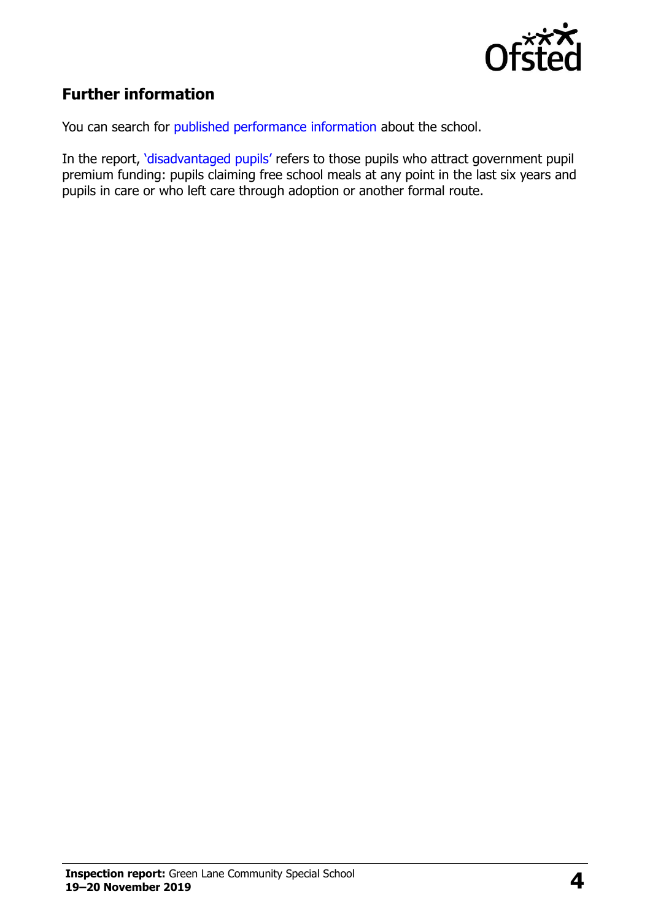

# **Further information**

You can search for [published performance information](http://www.compare-school-performance.service.gov.uk/) about the school.

In the report, '[disadvantaged pupils](http://www.gov.uk/guidance/pupil-premium-information-for-schools-and-alternative-provision-settings)' refers to those pupils who attract government pupil premium funding: pupils claiming free school meals at any point in the last six years and pupils in care or who left care through adoption or another formal route.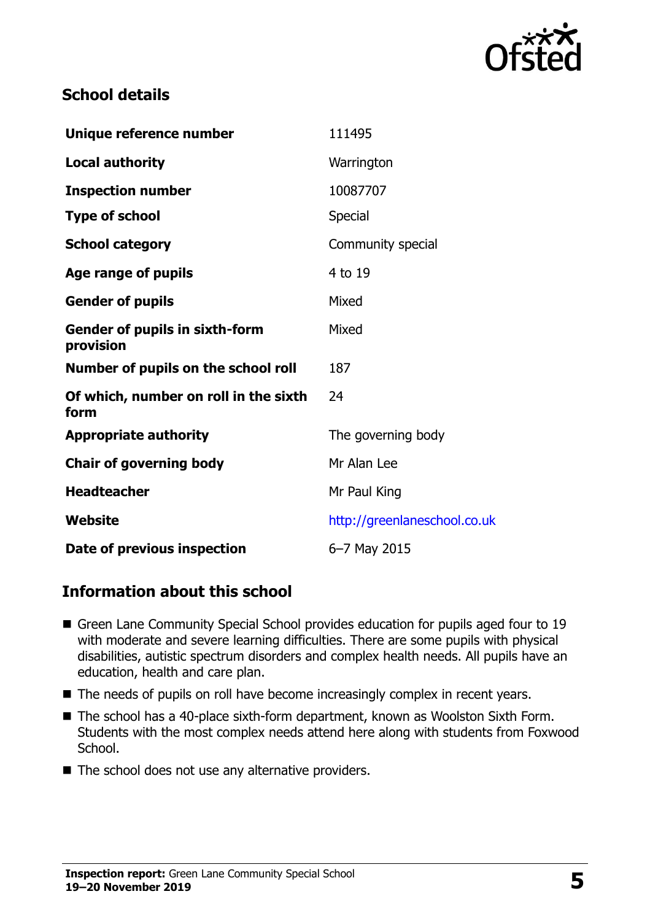

## **School details**

| Unique reference number                            | 111495                       |
|----------------------------------------------------|------------------------------|
| <b>Local authority</b>                             | Warrington                   |
| <b>Inspection number</b>                           | 10087707                     |
| <b>Type of school</b>                              | <b>Special</b>               |
| <b>School category</b>                             | Community special            |
| Age range of pupils                                | 4 to 19                      |
| <b>Gender of pupils</b>                            | Mixed                        |
| <b>Gender of pupils in sixth-form</b><br>provision | Mixed                        |
| Number of pupils on the school roll                | 187                          |
| Of which, number on roll in the sixth<br>form      | 24                           |
| <b>Appropriate authority</b>                       | The governing body           |
| <b>Chair of governing body</b>                     | Mr Alan Lee                  |
| <b>Headteacher</b>                                 | Mr Paul King                 |
| Website                                            | http://greenlaneschool.co.uk |
| Date of previous inspection                        | 6-7 May 2015                 |

#### **Information about this school**

- Green Lane Community Special School provides education for pupils aged four to 19 with moderate and severe learning difficulties. There are some pupils with physical disabilities, autistic spectrum disorders and complex health needs. All pupils have an education, health and care plan.
- The needs of pupils on roll have become increasingly complex in recent years.
- The school has a 40-place sixth-form department, known as Woolston Sixth Form. Students with the most complex needs attend here along with students from Foxwood School.
- The school does not use any alternative providers.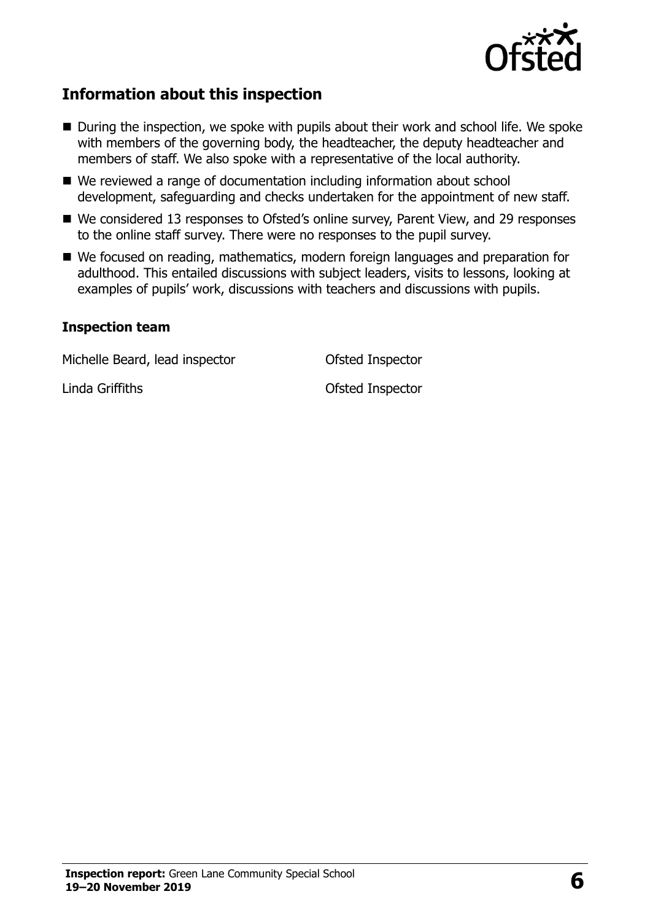

# **Information about this inspection**

- During the inspection, we spoke with pupils about their work and school life. We spoke with members of the governing body, the headteacher, the deputy headteacher and members of staff. We also spoke with a representative of the local authority.
- We reviewed a range of documentation including information about school development, safeguarding and checks undertaken for the appointment of new staff.
- We considered 13 responses to Ofsted's online survey, Parent View, and 29 responses to the online staff survey. There were no responses to the pupil survey.
- We focused on reading, mathematics, modern foreign languages and preparation for adulthood. This entailed discussions with subject leaders, visits to lessons, looking at examples of pupils' work, discussions with teachers and discussions with pupils.

#### **Inspection team**

Michelle Beard, lead inspector **Conservation Conservation** Ofsted Inspector

Linda Griffiths **Contact Contact Inspector** Contact Contact Contact Contact Contact Contact Contact Contact Contact Contact Contact Contact Contact Contact Contact Contact Contact Contact Contact Contact Contact Contact Co